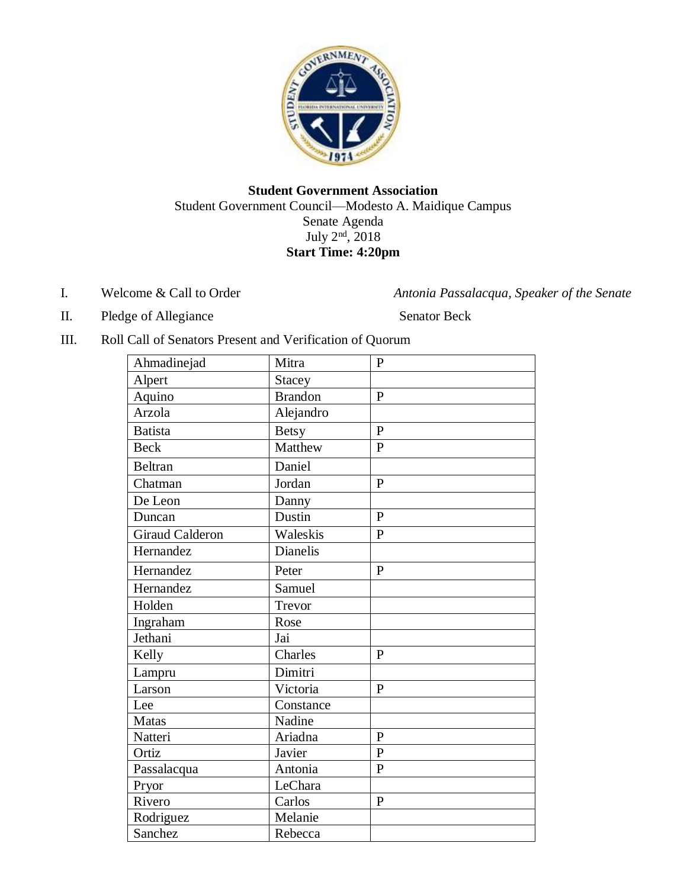

## **Student Government Association** Student Government Council—Modesto A. Maidique Campus Senate Agenda July  $2<sup>nd</sup>$ , 2018 **Start Time: 4:20pm**

I. Welcome & Call to Order *Antonia Passalacqua, Speaker of the Senate*

II. Pledge of Allegiance Senator Beck

III. Roll Call of Senators Present and Verification of Quorum

| Ahmadinejad            | Mitra          | $\mathbf{P}$   |
|------------------------|----------------|----------------|
| Alpert                 | Stacey         |                |
| Aquino                 | <b>Brandon</b> | $\mathbf{P}$   |
| Arzola                 | Alejandro      |                |
| <b>Batista</b>         | <b>Betsy</b>   | $\overline{P}$ |
| <b>Beck</b>            | Matthew        | $\mathbf{P}$   |
| <b>Beltran</b>         | Daniel         |                |
| Chatman                | Jordan         | $\mathbf{P}$   |
| De Leon                | Danny          |                |
| Duncan                 | Dustin         | $\overline{P}$ |
| <b>Giraud Calderon</b> | Waleskis       | $\overline{P}$ |
| Hernandez              | Dianelis       |                |
| Hernandez              | Peter          | $\, {\bf P}$   |
| Hernandez              | Samuel         |                |
| Holden                 | Trevor         |                |
| Ingraham               | Rose           |                |
| Jethani                | Jai            |                |
| Kelly                  | Charles        | $\mathbf{P}$   |
| Lampru                 | Dimitri        |                |
| Larson                 | Victoria       | $\mathbf{P}$   |
| Lee                    | Constance      |                |
| <b>Matas</b>           | Nadine         |                |
| Natteri                | Ariadna        | $\mathbf{P}$   |
| Ortiz                  | Javier         | $\overline{P}$ |
| Passalacqua            | Antonia        | $\overline{P}$ |
| Pryor                  | LeChara        |                |
| Rivero                 | Carlos         | $\mathbf{P}$   |
| Rodriguez              | Melanie        |                |
| Sanchez                | Rebecca        |                |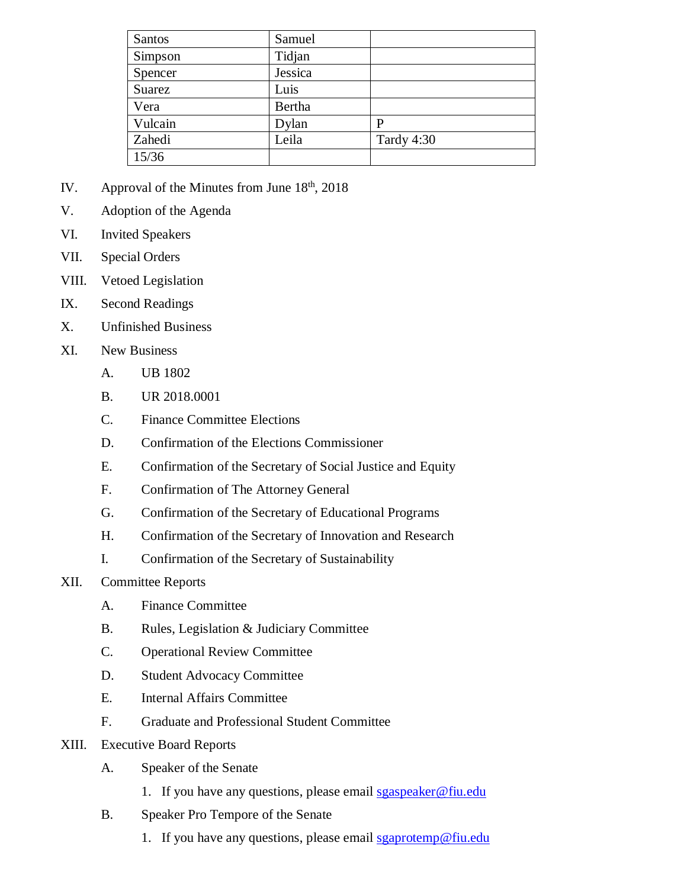| Santos  | Samuel  |            |
|---------|---------|------------|
| Simpson | Tidjan  |            |
| Spencer | Jessica |            |
| Suarez  | Luis    |            |
| Vera    | Bertha  |            |
| Vulcain | Dylan   | P          |
| Zahedi  | Leila   | Tardy 4:30 |
| 15/36   |         |            |

- IV. Approval of the Minutes from June  $18<sup>th</sup>$ , 2018
- V. Adoption of the Agenda
- VI. Invited Speakers
- VII. Special Orders
- VIII. Vetoed Legislation
- IX. Second Readings
- X. Unfinished Business
- XI. New Business
	- A. UB 1802
	- B. UR 2018.0001
	- C. Finance Committee Elections
	- D. Confirmation of the Elections Commissioner
	- E. Confirmation of the Secretary of Social Justice and Equity
	- F. Confirmation of The Attorney General
	- G. Confirmation of the Secretary of Educational Programs
	- H. Confirmation of the Secretary of Innovation and Research
	- I. Confirmation of the Secretary of Sustainability
- XII. Committee Reports
	- A. Finance Committee
	- B. Rules, Legislation & Judiciary Committee
	- C. Operational Review Committee
	- D. Student Advocacy Committee
	- E. Internal Affairs Committee
	- F. Graduate and Professional Student Committee
- XIII. Executive Board Reports
	- A. Speaker of the Senate
		- 1. If you have any questions, please email [sgaspeaker@fiu.edu](mailto:sgaspeaker@fiu.edu)
	- B. Speaker Pro Tempore of the Senate
		- 1. If you have any questions, please email [sgaprotemp@fiu.edu](mailto:sgaprotemp@fiu.edu)